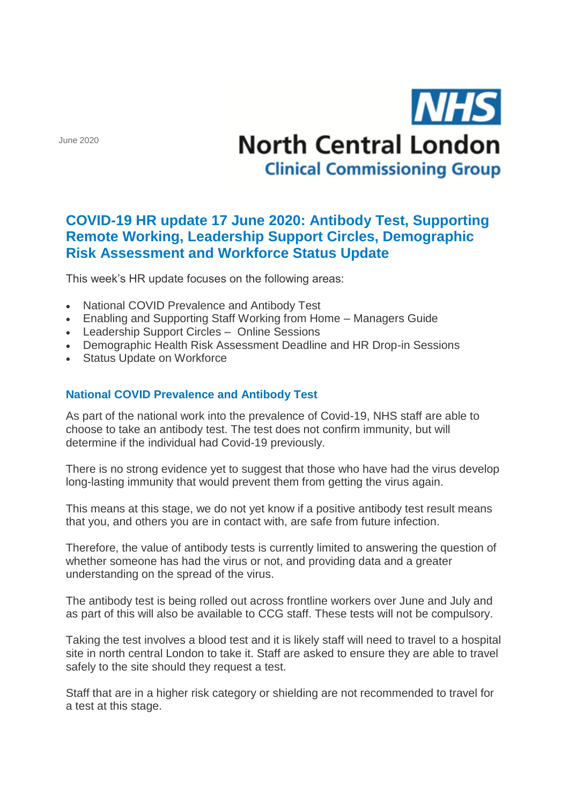June 2020

# **NHS North Central London Clinical Commissioning Group**

## **COVID-19 HR update 17 June 2020: Antibody Test, Supporting Remote Working, Leadership Support Circles, Demographic Risk Assessment and Workforce Status Update**

This week's HR update focuses on the following areas:

- National COVID Prevalence and Antibody Test
- Enabling and Supporting Staff Working from Home Managers Guide
- Leadership Support Circles Online Sessions
- Demographic Health Risk Assessment Deadline and HR Drop-in Sessions
- Status Update on Workforce

### **National COVID Prevalence and Antibody Test**

As part of the national work into the prevalence of Covid-19, NHS staff are able to choose to take an antibody test. The test does not confirm immunity, but will determine if the individual had Covid-19 previously.

There is no strong evidence yet to suggest that those who have had the virus develop long-lasting immunity that would prevent them from getting the virus again.

This means at this stage, we do not yet know if a positive antibody test result means that you, and others you are in contact with, are safe from future infection.

Therefore, the value of antibody tests is currently limited to answering the question of whether someone has had the virus or not, and providing data and a greater understanding on the spread of the virus.

The antibody test is being rolled out across frontline workers over June and July and as part of this will also be available to CCG staff. These tests will not be compulsory.

Taking the test involves a blood test and it is likely staff will need to travel to a hospital site in north central London to take it. Staff are asked to ensure they are able to travel safely to the site should they request a test.

Staff that are in a higher risk category or shielding are not recommended to travel for a test at this stage.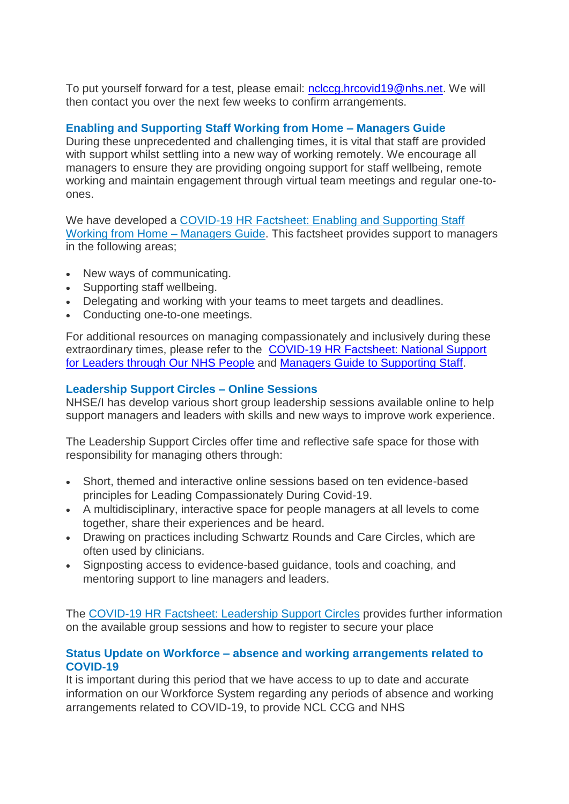To put yourself forward for a test, please email: [nclccg.hrcovid19@nhs.net.](mailto:nclccg.hrcovid19@nhs.net) We will then contact you over the next few weeks to confirm arrangements.

#### **Enabling and Supporting Staff Working from Home – Managers Guide**

During these unprecedented and challenging times, it is vital that staff are provided with support whilst settling into a new way of working remotely. We encourage all managers to ensure they are providing ongoing support for staff wellbeing, remote working and maintain engagement through virtual team meetings and regular one-toones.

We have developed a [COVID-19 HR Factsheet: Enabling and Supporting Staff](http://camdenccg.newsweaver.com/briefing/1pw8c04xi0k14ksjv241n0/external?email=true&a=6&p=5468335&t=356442)  [Working from Home –](http://camdenccg.newsweaver.com/briefing/1pw8c04xi0k14ksjv241n0/external?email=true&a=6&p=5468335&t=356442) Managers Guide. This factsheet provides support to managers in the following areas;

- New ways of communicating.
- Supporting staff wellbeing.
- Delegating and working with your teams to meet targets and deadlines.
- Conducting one-to-one meetings.

For additional resources on managing compassionately and inclusively during these extraordinary times, please refer to the [COVID-19 HR Factsheet: National Support](http://camdenccg.newsweaver.com/briefing/a5si27lfxul14ksjv241n0/external?email=true&a=6&p=5468335&t=356442)  [for Leaders through Our NHS People](http://camdenccg.newsweaver.com/briefing/a5si27lfxul14ksjv241n0/external?email=true&a=6&p=5468335&t=356442) and [Managers Guide to Supporting Staff.](http://camdenccg.newsweaver.com/briefing/cqqlilr36y514ksjv241n0/external?email=true&a=6&p=5468335&t=356442)

#### **Leadership Support Circles – Online Sessions**

NHSE/I has develop various short group leadership sessions available online to help support managers and leaders with skills and new ways to improve work experience.

The Leadership Support Circles offer time and reflective safe space for those with responsibility for managing others through:

- Short, themed and interactive online sessions based on ten evidence-based principles for Leading Compassionately During Covid-19.
- A multidisciplinary, interactive space for people managers at all levels to come together, share their experiences and be heard.
- Drawing on practices including Schwartz Rounds and Care Circles, which are often used by clinicians.
- Signposting access to evidence-based guidance, tools and coaching, and mentoring support to line managers and leaders.

The [COVID-19 HR Factsheet: Leadership Support Circles](http://camdenccg.newsweaver.com/briefing/1gp4vo2rwm314ksjv241n0/external?email=true&a=6&p=5468335&t=356442) provides further information on the available group sessions and how to register to secure your place

#### **Status Update on Workforce – absence and working arrangements related to COVID-19**

It is important during this period that we have access to up to date and accurate information on our Workforce System regarding any periods of absence and working arrangements related to COVID-19, to provide NCL CCG and NHS